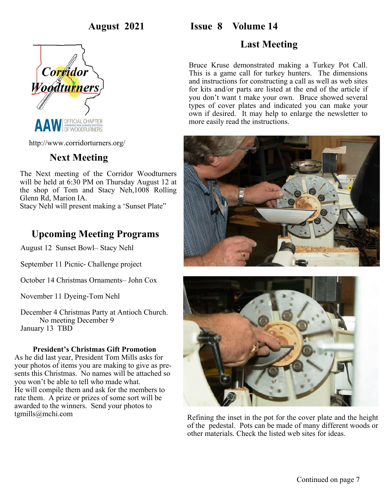# **August 2021 Issue 8 Volume 14**



http://www.corridorturners.org/

# **Next Meeting**

The Next meeting of the Corridor Woodturners will be held at 6:30 PM on Thursday August 12 at the shop of Tom and Stacy Neh,1008 Rolling Glenn Rd, Marion IA.

Stacy Nehl will present making a 'Sunset Plate"

## **Upcoming Meeting Programs**

August 12 Sunset Bowl– Stacy Nehl

September 11 Picnic- Challenge project

October 14 Christmas Ornaments– John Cox

November 11 Dyeing-Tom Nehl

December 4 Christmas Party at Antioch Church. No meeting December 9 January 13 TBD

#### **President's Christmas Gift Promotion**

As he did last year, President Tom Mills asks for your photos of items you are making to give as presents this Christmas. No names will be attached so you won't be able to tell who made what. He will compile them and ask for the members to rate them. A prize or prizes of some sort will be awarded to the winners. Send your photos to tgmills@mchi.com

# **Last Meeting**

Bruce Kruse demonstrated making a Turkey Pot Call. This is a game call for turkey hunters. The dimensions and instructions for constructing a call as well as web sites for kits and/or parts are listed at the end of the article if you don't want t make your own. Bruce showed several types of cover plates and indicated you can make your own if desired. It may help to enlarge the newsletter to more easily read the instructions.





Refining the inset in the pot for the cover plate and the height of the pedestal. Pots can be made of many different woods or other materials. Check the listed web sites for ideas.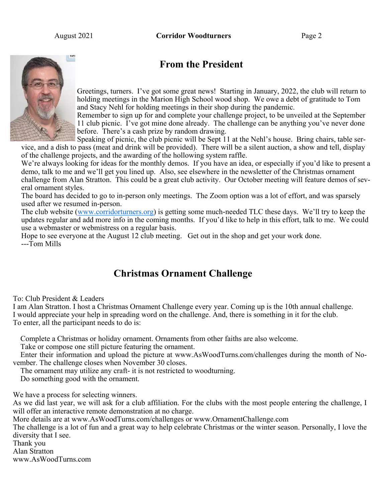August 2021 **Corridor Woodturners** Page 2



# **From the President**

Greetings, turners. I've got some great news! Starting in January, 2022, the club will return to holding meetings in the Marion High School wood shop. We owe a debt of gratitude to Tom and Stacy Nehl for holding meetings in their shop during the pandemic.

Remember to sign up for and complete your challenge project, to be unveiled at the September 11 club picnic. I've got mine done already. The challenge can be anything you've never done before. There's a cash prize by random drawing.

Speaking of picnic, the club picnic will be Sept 11 at the Nehl's house. Bring chairs, table ser-

vice, and a dish to pass (meat and drink will be provided). There will be a silent auction, a show and tell, display of the challenge projects, and the awarding of the hollowing system raffle.

We're always looking for ideas for the monthly demos. If you have an idea, or especially if you'd like to present a demo, talk to me and we'll get you lined up. Also, see elsewhere in the newsletter of the Christmas ornament challenge from Alan Stratton. This could be a great club activity. Our October meeting will feature demos of several ornament styles.

The board has decided to go to in-person only meetings. The Zoom option was a lot of effort, and was sparsely used after we resumed in-person.

The club website [\(www.corridorturners.org\)](http://www.corridorturners.org) is getting some much-needed TLC these days. We'll try to keep the updates regular and add more info in the coming months. If you'd like to help in this effort, talk to me. We could use a webmaster or webmistress on a regular basis.

Hope to see everyone at the August 12 club meeting. Get out in the shop and get your work done. ---Tom Mills

# **Christmas Ornament Challenge**

To: Club President & Leaders

I am Alan Stratton. I host a Christmas Ornament Challenge every year. Coming up is the 10th annual challenge. I would appreciate your help in spreading word on the challenge. And, there is something in it for the club. To enter, all the participant needs to do is:

Complete a Christmas or holiday ornament. Ornaments from other faiths are also welcome.

Take or compose one still picture featuring the ornament.

 Enter their information and upload the picture at www.AsWoodTurns.com/challenges during the month of November. The challenge closes when November 30 closes.

The ornament may utilize any craft- it is not restricted to woodturning.

Do something good with the ornament.

We have a process for selecting winners.

As we did last year, we will ask for a club affiliation. For the clubs with the most people entering the challenge, I will offer an interactive remote demonstration at no charge.

More details are at www.AsWoodTurns.com/challenges or www.OrnamentChallenge.com

The challenge is a lot of fun and a great way to help celebrate Christmas or the winter season. Personally, I love the diversity that I see.

Thank you

Alan Stratton www.AsWoodTurns.com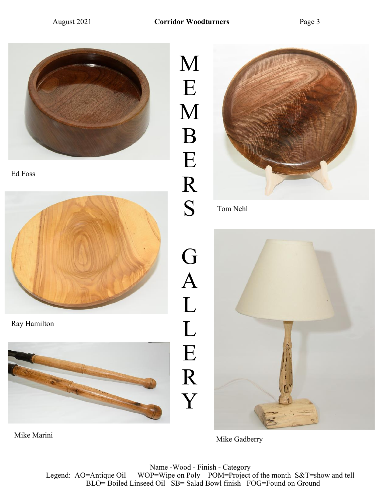

Ed Foss



Ray Hamilton



M E M B E R S G A L L E R Y



Tom Nehl



Mike Marini Mike Gadberry Mike Gadberry

Name -Wood - Finish - Category Legend: AO=Antique Oil WOP=Wipe on Poly POM=Project of the month S&T=show and tell BLO= Boiled Linseed Oil SB= Salad Bowl finish FOG=Found on Ground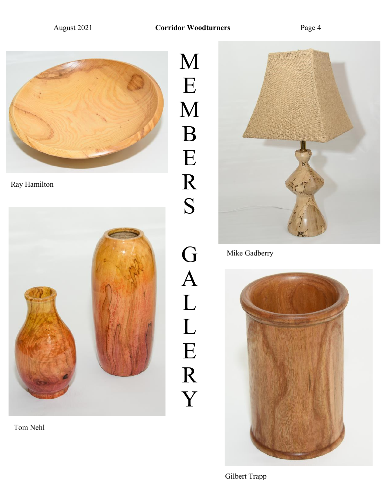E

B

E

R

S

G

A

L

L

E

R

Y



Ray Hamilton



Tom Nehl



Mike Gadberry

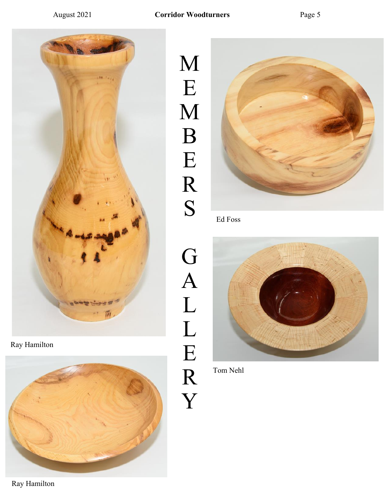

Ray Hamilton



M E M B E R S





Ed Foss



Tom Nehl

Ray Hamilton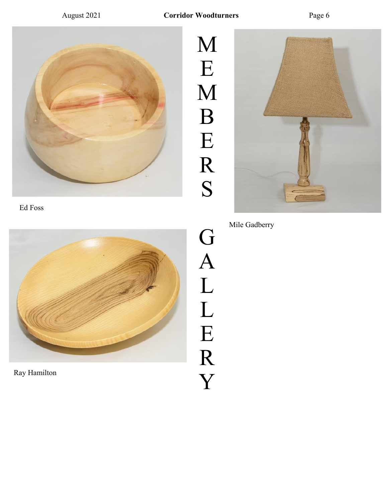

Ed Foss



Ray Hamilton

M E M B E R S

G

A

L

L

E

R

Y



Mile Gadberry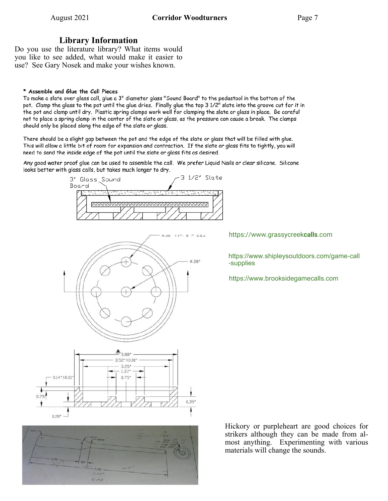### **Library Information**

Do you use the literature library? What items would you like to see added, what would make it easier to use? See Gary Nosek and make your wishes known.

#### \* Assemble and Glue the Call Pieces

To make a slate over glass call, glue a 3" diameter glass "Sound Board" to the pedastool in the bottom of the pot. Clamp the glass to the pot until the glue dries. Finally glue the top 3 1/2" slate into the groove cut for it in the pot and clamp until dry. Plastic spring clamps work well for clamping the slate or glass in place. Be careful not to place a spring clamp in the center of the slate or glass, as the pressure can cause a break. The clamps should only be placed along the edge of the slate or glass.

There should be a slight gap between the pot and the edge of the slate or glass that will be filled with glue. This will allow a little bit of room for expansion and contraction. If the slate or glass fits to tightly, you will need to sand the inside edge of the pot until the slate or glass fits as desired.

Any good water proof glue can be used to assemble the call. We prefer Liquid Nails or clear silicone. Silicone looks better with glass calls, but takes much longer to dry.





 $25 - 30$ 

https://www.grassycreek**calls**.com

https://www.shipleysoutdoors.com/game-call -supplies

https://www.brooksidegamecalls.com

Hickory or purpleheart are good choices for strikers although they can be made from almost anything. Experimenting with various materials will change the sounds.